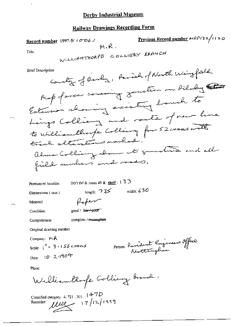# **Railway Drawings Recording Form**

Previous Record number  $MR/32/1120$ Record number 1997-5/ (006) м.R. WILLIAMTHORPE COLLIERY BRANCH Title Country of Develop, Paviah of North Weigfield. **Brief Description** Mot of area comming zunden on Ailaby Extension showing existing branch to Lings Colliany and route of new line to William think Colling for 52 corners with track alterations marked. alma Colling about to generate and all field annihers and roads. DBYIM & room 49 & shelf:  $(33)$ Permanent location length:  $735$  width: 630 Dimensions (mm) Refer Material

Condition

good / fair / poor

Completeness

complete /-incomplete

Original drawing number

Company:  $M$  $R$ 

Scale:  $\int_1^R = 3.156$  ctrans Date: 10 2.1904

Person: Resident Engineers Office

Place:

Williamthofe Colling Branch.

Classified category: 4, 721, 301, 14-7D Recorder:  $\mu$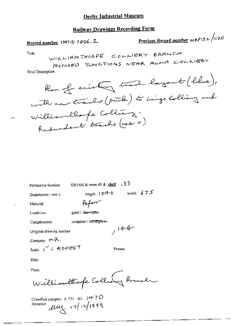# **Railway Drawings Recording Form**

Previous Record number MRP132/1120 Record number 1997-5/1006, 2 WILLIAMTHORPE COLLIERY BRANCH Title PROPOSED JUNCTIONS NEAR ALMA COLLIERY **Brief Description** Rom of existing track layout (blue), with new tracks (puts) to Lings Colliany and Williamthorfe Colling. Redundant tracks (red x)

Permanent location

DBYIM & room 49 & shelf :  $13.3$ 

Dimensions (mm)

length:  $104-0$  width:  $675$ 

 $,14-4$ 

Person:

Material

good / fair-/ poor

Completeness

Condition

complete / incomplete-

Pofer

Original drawing number

Company:  $M \rightarrow R$ 

Scale:  $1'' = 40F2ET$ 

Date:

Place:

Williamthope Collect Branch

Classified category:  $4, 721, 301, 14 + 7D$ Recorder:  $\mu$  $\mu$   $\left| \frac{7}{12} \right|$   $\left| \frac{19999}{120} \right|$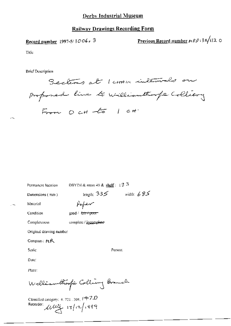### **Railway Drawings Recording Form**

Record number 1997-5/1006, 3

Previous Record number  $\kappa R \rho_1 32/112$  O

Title

**Brief Description** 

Sections at 1 comm intervals on proposed line to williamthoufe Colliany From  $OCH$  to  $1$  cH

Permanent focation.

DBYIM & room 49 & shelf:  $\pm 3.5$ 

Dimensions (mm)

length:  $335$  width:  $685$ 

Person:

Material

Poper

Condition

good / fair+poor

complete / incomplete

Completeness

Original drawing number

Compan: MR

Scale:

Date:

Place:

Welliamthorfie Colling Branch

Classified category: 4, 721, 301,  $\beta$  +7.0 Recorder:  $\mu w + |v| |v|$  , 999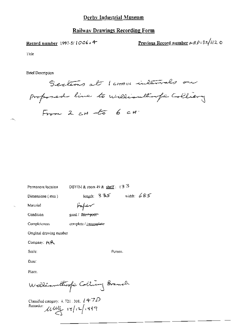#### **Railway Drawings Recording Form**

Record number 1997-5/1006.4

Previous Record number  $\mu R \rho_1 3z/11z$  O

Title

**Brief Description** 

Sections at 1 comme intervals on proposed line to williamthough Colliery From  $2 cH - 6$  6  $cH$ 

Permanent location

DBYIM & room 49 & shelf:  $(3.3)$ 

Person.

Dimensions (mm)

length:  $335$  width:  $685$ سمشقيهم

Condition

 $good / flat$   $point$ 

complete / incomplete

Completeness

Material

Original drawing number

Company: HR

Scale:

Date:

Place.

Welliamthoofs Colling Branch

Classified category: 4, 721, 301,  $l$  4  $7D$ Recorder:  $\mu_{\text{eff}}$   $\text{17}/\text{17}/\text{19}$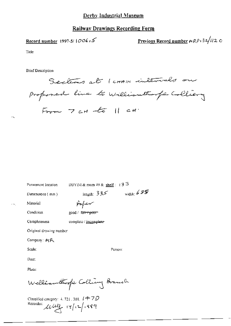# **Railway Drawings Recording Form**

Record number 1997-5/ $1006.5$ 

Previous Record number  $\mu$ RP 32/12 0

Title

**Brief Description** 

Sections at 1 comm intervals on proposed line to williamthough Colliery From  $7$  cH -to  $11$  cH.

Permanent location

DBYIM & room 49 & shelf:  $(3.5)$ 

Person:

Dimensions (mm)

length:  $335$  width:  $655$ Pafer

complete / incomplete

Condition

Material

good / fair / poor

Completeness

Original drawing number

Company: MR

Scale:

Date:

Place:

Welliamthof i Colling Branch

Classified category:  $4.721$  , 301,  $\ell$   $\pm$   $7D$ Recorder: usefiz/12/199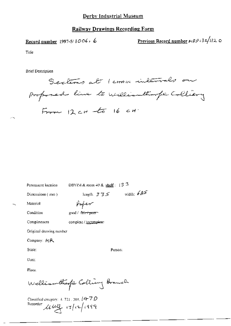#### **Railway Drawings Recording Form**

Record number 1997-5/1006, 6

Previous Record number  $\mu R \rho i 32/112$  O

Title

**Brief Description** 

Sections at 1 corner intervals on proposed line to williamthoufe Colliery From  $12cH - t6$  16  $cH$ 

Permanent location

DBYIM & room 49 & shelf:  $13.5$ 

Person:

Dimensions (mm)

good / f<del>air γνωσ</del>η

length.  $335$  width:  $685$ 

Material

Poper

Condition

Completeness complete / incomplete-

Original drawing number

Company: MR

Scale:

Date:

Place.

Welliamthofe Colling Branch

Classified category: 4, 721, 301,  $(47D)$ Recorder use 17/12/1999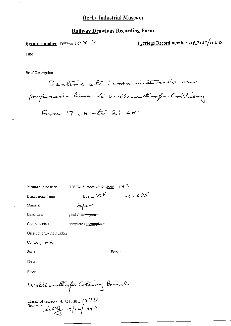#### **Railway Drawings Recording Form**

Record number 1997-5/1006, 7

Previous Record number  $\mu R \rho$  3z/ $\mu$ 2 0

Title

**Brief Description** 

Sections at 1 comme intervals on proposed line to williamthough Colliany  $F_{r+m}$  17 cH  $-$ to 21 cH

Permanent location

DBYIM & room 49 & shelf:  $13.5$ 

Dimensions (mm)

سمستهضهم

complete / incomplete-

length:  $335$ width:  $685$ 

Condition

Material

good / l<del>air/poor</del>

Completeness

Original drawing number

Company, MR

Scale:

Date:

Place.

Welliamthofe Colling Branch

Classified category: 4, 721, 301,  $(4.7D)$ Recorder:  $\mu_{\mathcal{L}}$   $\mu_{\mathcal{L}}$   $\left| \frac{1}{2} \right|$   $\left| \frac{1}{2} \right|$   $\left| \frac{1}{2} \right|$ 

Person: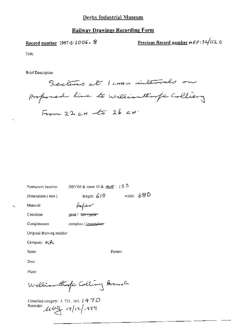Record number 1997-5/1006, 8

Previous Record number  $\mu R \rho$ 132/120

Title

**Brief Description** 

Sections at 1 comme intervals on proposed line to williamthoufer Colliery  $F_{\text{true}}$  22 cH  $-5$  26 cH

Permanent location

DBYIM & room 49 & shelf:  $\sqrt{3}$   $\sqrt{5}$ 

Dimensions (nm)

length:  $610$  width:  $680$ 

Person:

Material

Paper

good / fan fycor

complete / incomplete-

Condition

Completeness

Original drawing number

Company: HR

Scale:

Date:

Place:

Welliamthofic Colling Branch

Classified category: 4, 723 , 301,  $\int 477D$ Recorder: usef 17/12/1989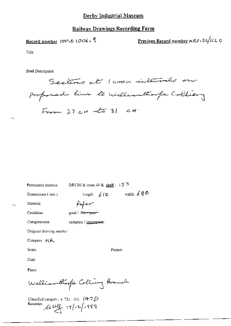### **Railway Drawings Recording Form**

Record number 1997-5/1006, 9

Previous Record number  $ARP + 32/112$  O

Title

Brief Description

Sections at I comme intervals on proposed line to williamthorpe Colliany From  $27$  cH  $-663$  cH

Person:

DBYIM & room 49 & shelf:  $\{3\}$ <sup>3</sup> Permanent location

Dimensions (mm)

length:  $610$  width:  $680$ 

good / fair + poor

Material

Poper

Condition

Completeness

complete / incomplete-

Original drawing number

Company: MR

Scale:

Date:

Place:

Welliamthorfe Colling Branch

Classified category:  $4.721.301.$   $(4.7)$ Recorder util 17/12/1999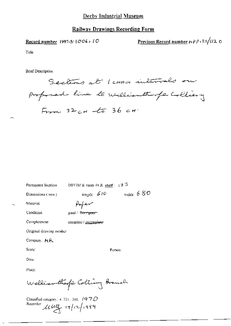Record number 1997-5/ | 006 a 10

Previous Record number  $\mu$  $\beta$  $\beta$   $\frac{3}{4}$ /12 0

Title

**Brief Description** 

Sections at I comme intervals on proposed line to williamthough Colliany  $F_{r-m}$  32 cH  $-65$  36 cH

DBYIM & room 49 & shelf:  $\pm 3.5$ Permanent location

Dimensions (mm)

length:  $610$  width:  $680$ 

Person:

Material

Pafer

Condition

 $\gcd / \sqrt{\sin \tau}$  poor

Completeness complete / incomplete-

Original drawing mimber

Company, M.R.

Scale:

Date:

Place:

Welliamthof Colling Branch

Classified category:  $4.721, 301, 1470$ Recorder  $\mu_{\mathfrak{p}}$   $\mathfrak{p}$   $\mathfrak{p}$   $\mathfrak{p}$   $\mathfrak{p}$   $\mathfrak{p}$   $\mathfrak{p}$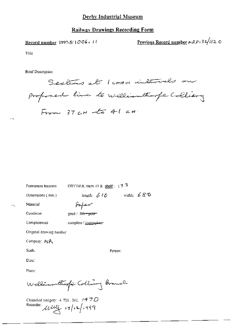Record number 1997-5/1006, 11

Previous Record number  $nRP/32/112$  O

Title

**Brief Description** 

Sections at I comme intervals on proposed line to williamthough Colliany From  $37$  CH  $-16$  41 CH

Permanent location

DBYIM & room 49 & shelf :  $35$ 

Person:

Dimensions (mm)

length:  $610$  width:  $680$ 

Material

m,

Paper

good / f<del>air / poor</del>

Condition

Completeness

complete / incomplete-

Original drawing number

Company: MR

Scale.

Date:

Place:

Williamthof Colling Branch

Classified category: 4, 721, 301,  $1470$ Recorder: Mulle 17/12/1999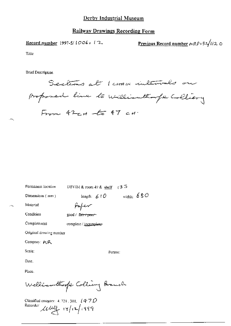#### **Railway Drawings Recording Form**

Record number 1997-5/1006, 17

Previous Record number  $\mu R \rho_1 3/112$  O

Title

**Brief Description** 

Sections at 1 comme intervals on proposed line to williamthough Colliery From 42cH -to 47 cH.

Permanent location.

DBYIM & room  $49$  & shelf  $(3.5)$ 

Person:

Dimensions (mm)

length:  $6 + O$  width:  $68 O$ Pafer

 $\mathcal{F}^{\mathcal{A}}$ 

Condition

Completeness

Material

good / fa<del>ir / pao</del>r-

complete / incomplete-

Original drawing number

Company: MR

Scale:

Date.

Place.

Welliamthoffe Colling Branch

Classified category:  $4.721$ , 301,  $(470$ Recorder  $\mu w$   $(7/12/1999)$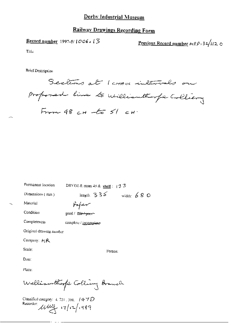### **Railway Drawings Recording Form**

Record number 1997-5/ $1006.13$ 

Previous Record number  $\mu R \rho_1 32/112$  O

Title

**Brief Description** 

Sections at 1 comme intervals on proposed line to williamthorpe Colliany From  $48cH - 6551cH$ 

Person:

Permanent location DBYIM & room 49 & shelf :  $+3.3$ 

Dimensions (mm)

length.  $335$  width: 680

Material

refer

Condition

Completeness

good / fai<del>r / poor -</del>

complete / incomplete-

Original drawing number

Company: HR

Scale:

Date:

Place:

Welliamthorfe Colling Branch

Classified category:  $4.7211301.747D$ Recorder und 17/12/1999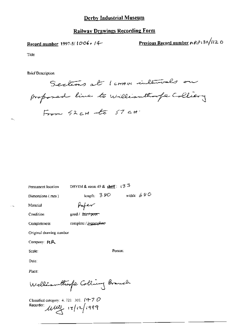Record number 1997-5/1006, 14-

Previous Record number ARP132/120

Title

**Brief Description** 

Sections at 1 comm intervals on proposed line to williamthoufe Colliery  $F_{r,m}$   $52$ cH  $-6$   $57$  cH

Permanent location

DBYIM & room 49 & shelf:  $13<sup>3</sup>$ 

width:  $680$ 

Person:

Dimensions (mm)

length:  $380$ 

Paper

good / fair / poor

Condition

Completeness

Material

complete / incomplete-

Original drawing number

Company: MR

Scale:

Date:

Place:

Welliamthorfe Colling Branch

Classified category: 4, 721-301.  $f4-7D$ Recorder:  $\mu\mu$ ,  $\int$   $(12)$   $(999)$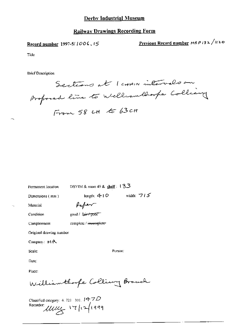#### **Railway Drawings Recording Form**

Record number 1997-5/1006, 15

Previous Record number MRP132/1120

Title

**Brief Description** 

Sections at 1 cross intervals on proposed line to Wellcomblooks Colliany From 58 CH to 63 cH

Permanent location

DBYIM & room 49 & shelf: 133

Dimensions (mm)

length:  $410$ 

width:  $715$ 

Person:

Material

 $\mu_{\rm m}/\nu \sim$ 

 $g$ oxid /  $f$ gir + poor

Condition

Completeness

complete / incomplete

Original drawing number

Company: MR

Scale:

Date:

Place:

Williamthoope Colling Branch

Classified category: 4, 721-301, 14-7D Recorder:  $\mu\mu\mu$  17/12/1999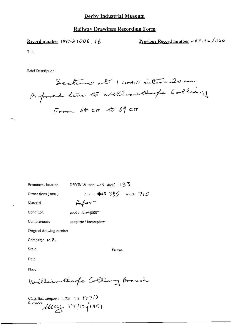### **Railway Drawings Recording Form**

Record number 1997-5/1006,  $16$ 

Previous Record number MRP (32/1120

Tille

**Brief Description** 

Sections at 1 cross intervals on proposed line to William though Colliany From 64 ct to 69 ct

DBYIM & room 49 & shelf 13.3 Permanent location

Dimensions (nun)

length:  $440.385$  width:  $715$ 

Person:

. — ,

faper

Condition

Material

good / fair+poor

complete / incomplete

Completeness

Original drawing number

Company: MR

Scale.

Date:

Place<sup>®</sup>

Williamthoofe Colling Branch

Classified category: 4, 721, 301,  $1470$ Recorder Ullly 17/17/1999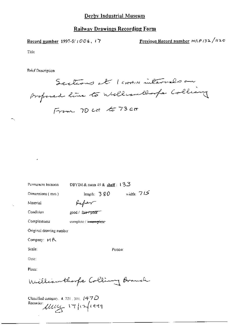Record number 1997-5/1006, 17

Previous Record number HRP 132/1120

Title

÷,

**Brief Description** 

Sections at 1 cross intervals on proposed line to William llooks Colliany From 70 ct to 73 ct

| Permanent focation            | DBYIM & room $49$ & shelf: $13.5$ |  |
|-------------------------------|-----------------------------------|--|
| Dimensions $(mn)$             | width: $715$<br>length: $380$     |  |
| Material                      | Haften T                          |  |
| Condition                     | good / fair <del>/ poor f</del>   |  |
| Completeness                  | complete / incomplete             |  |
| Original drawing number       |                                   |  |
| Company: MR                   |                                   |  |
| Scale:                        | Person:                           |  |
| Date:                         |                                   |  |
| Place:                        |                                   |  |
| William thorpe Colling Branch |                                   |  |
|                               |                                   |  |

Classified category, 4, 721, 301,  $(47D)$ Recorder: Ulley 17/12/1999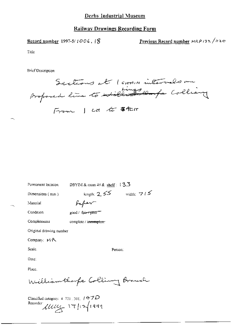Record number 1997-5/1006, 18

Previous Record number HRP (32/1120

Title

**Brief Description** 

Sections at 1 cross intervals on From I can to them

Permanent location

DBYIM & room 49 & shelf: 13.3

Dimensions (mm)

length:  $2.55$  width:  $715$ 

Person:

Condition

faper

Material

good / fair+paor

complete / incomplete

Completeness

Original drawing number

Company: MR

Scale.

Date:

Place.

Williamthorpe Colling Branch

Classified category:  $4, 721, 301, 147D$ Recorder 11/12/1999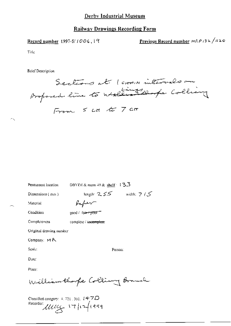Record number 1997-5/ $1006, 19$ 

Previous Record number HRP 132/1120

Title

**Brief Description** 

Sections at 1 comm intervals on From 5 ct to 7 ct

Permanent location

DBYIM & room  $49$  & shelf:  $13.3$ 

Dimensions (mm)

length:  $255$  width:  $7/5$ 

 $\sigma_{\rm N}$ 

Condition

Material

Completeness

good / fair-f poor

complete / incomplete

faber

Original drawing number

Company: MR

Seale:

Person:

Date:

Place:

Williamthoofe Colling Branch

Classified category:  $4.721$ , 301,  $147D$ Recorder: 11144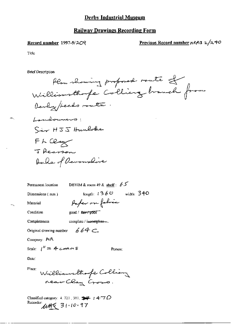#### **Railway Drawings Recording Form**

#### Record number 1997-5/2O9

### Previous Record number  $\frac{R}{r^2}$  2/240

Title

**Brief Description** 

Plan showing proposed route of Williamsthofe Colliery brough from Devly / feeds route. Landvannens! Sir HJJ Hunlobe FL Clay J Rearson Dalle of Devoushire

length:  $1360$  width: 340

Person:

Permanent location

DBYIM & room 49 & shelf:  $65$ 

Paper on folice

Dimensions (mm)

Material

Condition

good / fair / poor"

Completeness

complete / incomplete- $664C$ 

Original drawing number

Company:  $AR$ 

Scale:  $I'' = 4 \text{ cm} \cdot N S$ 

Date:

Place:

Williamsthofe Colliany<br>near Clay Cross.

Classified category: 4, 721, 301,  $\frac{1}{2}$  / 4-70 Recorder MAG 31.10.97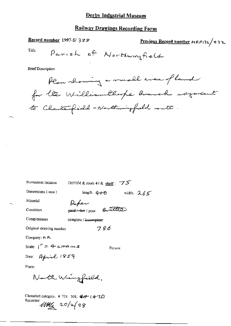# **Railway Drawings Recording Form**

Record number 1997-5/388 Previous Record number  $\mu$ RP(32/432) Parish of Northungfield Title **Brief Description** Plan showing a small even of land for the William thorpe branch adjacent to Charlespield - Northwingfield south

| Permanent location                                                                        | DBYIM & room 49 & shelf : $75$ |              |
|-------------------------------------------------------------------------------------------|--------------------------------|--------------|
| Dimensions $(mn)$                                                                         | length: 4-0- <del>0</del>      | width. $265$ |
| Material                                                                                  | Paper                          |              |
| Condition                                                                                 | good/fair/poor Brutter         |              |
| Completeness                                                                              | complete / imcomplete          |              |
| Original drawing number                                                                   | 786                            |              |
| Company: A R.                                                                             |                                |              |
| Scale:  ″ニ 什c <del>けっ</del> 灬s                                                            |                                | Person:      |
| Date: April 1859                                                                          |                                |              |
| Place:                                                                                    |                                |              |
|                                                                                           | North Wingfield.               |              |
| Classified category, 4.721, 301, $\mathcal{CP}^-(4.7D)$<br>Recorder:<br>$100\frac{1}{48}$ |                                |              |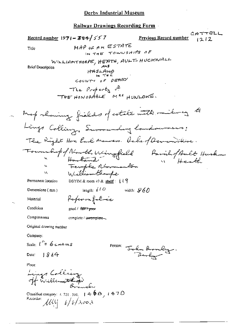CATTELL Record number 1971 - 384/557 Previous Record number  $1212$ MAP OF AN ESTATE Title IN THE TOWNSHIPS OF WILLIAMTHORPE, HEATH, AULT-HUCKNALL **Brief Description** HASLAND<br>IN THE COUNTY OF DERBY The *Property* of THE HONORABLE MAS HUNLOWE. Map rhowing fields of estate with miling to Lings Colling, Surrounding landowners; The Right Hon Earl Monvers. Dake of Devenishine. Fournalispof North Wingfield Pavillof Ault Huskn. Femple Normanton<br>Williamtharpe W DBYIM & room 49 & shelf:  $119$ Permanent location length:  $610$ width:  $\mathscr{G}60$ Dimensions (mm) Paperonfoloie Material Condition good / fair t poer Completeness complete / incomplete. Original drawing number Company: Scale  $\int_{-\infty}^{\infty} 6c$  and  $\cos$ Person: John Bromley.  $1864$ Date: Place: Lings Collière Classified category:  $4.721, 301, 14.66$ ,  $14.70$ Recorder:  $\mathcal{U}\mathcal{U} = \frac{1}{2} \int \frac{1}{2} \int \frac{1}{2} \sigma^2 \sigma^2$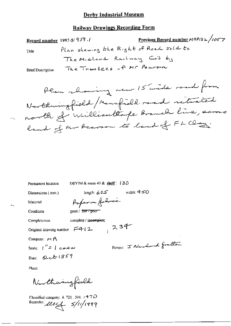### Railway Drawings Recording Form

Permanent location

DBYIM & room 49 & shelf:  $(30$ 

Dimensions (mm)

length:  $605$  width: 4-50

Material Condition

ж,

Paperon folice good / fair / poor--

complete / incomplete.

Original drawing number  $F-4-12$ ,  $254$ 

Company:  $M \upharpoonright R$ 

Completeness

Scale:  $\int_{0}^{H}dx$   $\int_{0}^{H}dH$ Date: Qub1859

Person: I numbered fraction

Place:

Northwingfield

Classified category: 4, 721 , 301, 4  $\mathcal{4}$   $\mathcal{7}$   $\mathcal{D}$ Recorder: Mult 5/11/1999